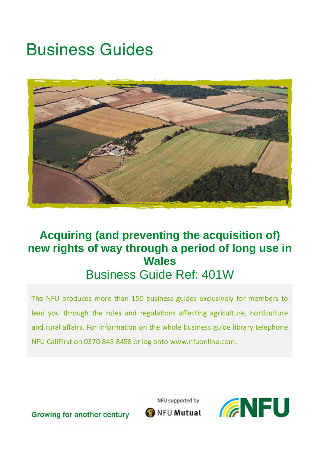# **Business Guides**



# **Acquiring (and preventing the acquisition of) new rights of way through a period of long use in Wales** Business Guide Ref: 401W

The NFU produces more than 150 business guides exclusively for members to lead you through the rules and regulations affecting agriculture, horticulture and rural affairs. For information on the whole business guide library telephone NFU CallFirst on 0370 845 8458 or log onto www.nfuonline.com.

NFU supported by



**Growing for another century** 

NFU Mutual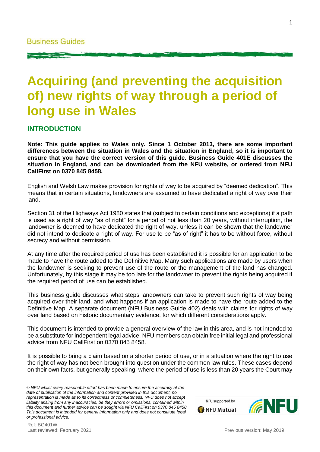# **Acquiring (and preventing the acquisition of) new rights of way through a period of long use in Wales**

#### **INTRODUCTION**

**Note: This guide applies to Wales only. Since 1 October 2013, there are some important differences between the situation in Wales and the situation in England, so it is important to ensure that you have the correct version of this guide. Business Guide 401E discusses the situation in England, and can be downloaded from the NFU website, or ordered from NFU CallFirst on 0370 845 8458.**

English and Welsh Law makes provision for rights of way to be acquired by "deemed dedication". This means that in certain situations, landowners are assumed to have dedicated a right of way over their land.

Section 31 of the Highways Act 1980 states that (subject to certain conditions and exceptions) if a path is used as a right of way "as of right" for a period of not less than 20 years, without interruption, the landowner is deemed to have dedicated the right of way, unless it can be shown that the landowner did not intend to dedicate a right of way. For use to be "as of right" it has to be without force, without secrecy and without permission.

At any time after the required period of use has been established it is possible for an application to be made to have the route added to the Definitive Map. Many such applications are made by users when the landowner is seeking to prevent use of the route or the management of the land has changed. Unfortunately, by this stage it may be too late for the landowner to prevent the rights being acquired if the required period of use can be established.

This business guide discusses what steps landowners can take to prevent such rights of way being acquired over their land, and what happens if an application is made to have the route added to the Definitive Map. A separate document (NFU Business Guide 402) deals with claims for rights of way over land based on historic documentary evidence, for which different considerations apply.

This document is intended to provide a general overview of the law in this area, and is not intended to be a substitute for independent legal advice. NFU members can obtain free initial legal and professional advice from NFU CallFirst on 0370 845 8458.

It is possible to bring a claim based on a shorter period of use, or in a situation where the right to use the right of way has not been brought into question under the common law rules. These cases depend on their own facts, but generally speaking, where the period of use is less than 20 years the Court may

*© NFU whilst every reasonable effort has been made to ensure the accuracy at the date of publication of the information and content provided in this document, no representation is made as to its correctness or completeness. NFU does not accept liability arising from any inaccuracies, be they errors or omissions, contained within this document and further advice can be sought via NFU CallFirst on 0370 845 8458. This document is intended for general information only and does not constitute legal or professional advice.*



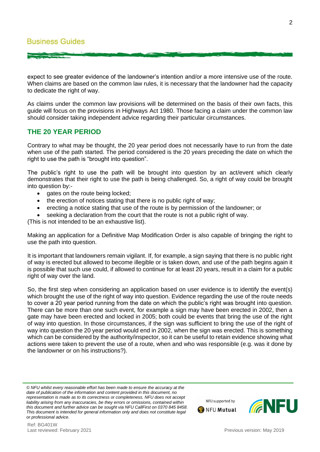expect to see greater evidence of the landowner's intention and/or a more intensive use of the route. When claims are based on the common law rules, it is necessary that the landowner had the capacity to dedicate the right of way.

As claims under the common law provisions will be determined on the basis of their own facts, this guide will focus on the provisions in Highways Act 1980. Those facing a claim under the common law should consider taking independent advice regarding their particular circumstances.

# **THE 20 YEAR PERIOD**

Contrary to what may be thought, the 20 year period does not necessarily have to run from the date when use of the path started. The period considered is the 20 years preceding the date on which the right to use the path is "brought into question".

The public's right to use the path will be brought into question by an act/event which clearly demonstrates that their right to use the path is being challenged. So, a right of way could be brought into question by:-

- gates on the route being locked;
- the erection of notices stating that there is no public right of way;
- erecting a notice stating that use of the route is by permission of the landowner; or
- seeking a declaration from the court that the route is not a public right of way.

(This is not intended to be an exhaustive list).

Making an application for a Definitive Map Modification Order is also capable of bringing the right to use the path into question.

It is important that landowners remain vigilant. If, for example, a sign saying that there is no public right of way is erected but allowed to become illegible or is taken down, and use of the path begins again it is possible that such use could, if allowed to continue for at least 20 years, result in a claim for a public right of way over the land.

So, the first step when considering an application based on user evidence is to identify the event(s) which brought the use of the right of way into question. Evidence regarding the use of the route needs to cover a 20 year period running from the date on which the public's right was brought into question. There can be more than one such event, for example a sign may have been erected in 2002, then a gate may have been erected and locked in 2005; both could be events that bring the use of the right of way into question. In those circumstances, if the sign was sufficient to bring the use of the right of way into question the 20 year period would end in 2002, when the sign was erected. This is something which can be considered by the authority/inspector, so it can be useful to retain evidence showing what actions were taken to prevent the use of a route, when and who was responsible (e.g. was it done by the landowner or on his instructions?).

NFU supported by

**ONEU Mutual**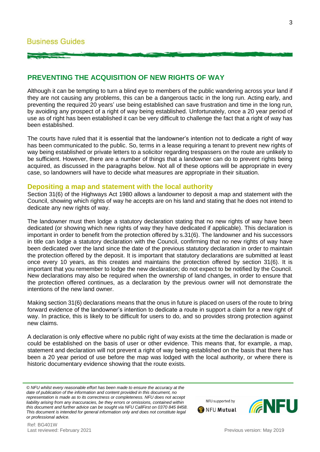# **PREVENTING THE ACQUISITION OF NEW RIGHTS OF WAY**

Although it can be tempting to turn a blind eye to members of the public wandering across your land if they are not causing any problems, this can be a dangerous tactic in the long run. Acting early, and preventing the required 20 years' use being established can save frustration and time in the long run, by avoiding any prospect of a right of way being established. Unfortunately, once a 20 year period of use as of right has been established it can be very difficult to challenge the fact that a right of way has been established.

The courts have ruled that it is essential that the landowner's intention not to dedicate a right of way has been communicated to the public. So, terms in a lease requiring a tenant to prevent new rights of way being established or private letters to a solicitor regarding trespassers on the route are unlikely to be sufficient. However, there are a number of things that a landowner can do to prevent rights being acquired, as discussed in the paragraphs below. Not all of these options will be appropriate in every case, so landowners will have to decide what measures are appropriate in their situation.

#### **Depositing a map and statement with the local authority**

Section 31(6) of the Highways Act 1980 allows a landowner to deposit a map and statement with the Council, showing which rights of way he accepts are on his land and stating that he does not intend to dedicate any new rights of way.

The landowner must then lodge a statutory declaration stating that no new rights of way have been dedicated (or showing which new rights of way they have dedicated if applicable). This declaration is important in order to benefit from the protection offered by s.31(6). The landowner and his successors in title can lodge a statutory declaration with the Council, confirming that no new rights of way have been dedicated over the land since the date of the previous statutory declaration in order to maintain the protection offered by the deposit. It is important that statutory declarations are submitted at least once every 10 years, as this creates and maintains the protection offered by section 31(6). It is important that you remember to lodge the new declaration; do not expect to be notified by the Council. New declarations may also be required when the ownership of land changes, in order to ensure that the protection offered continues, as a declaration by the previous owner will not demonstrate the intentions of the new land owner.

Making section 31(6) declarations means that the onus in future is placed on users of the route to bring forward evidence of the landowner's intention to dedicate a route in support a claim for a new right of way. In practice, this is likely to be difficult for users to do, and so provides strong protection against new claims.

A declaration is only effective where no public right of way exists at the time the declaration is made or could be established on the basis of user or other evidence. This means that, for example, a map, statement and declaration will not prevent a right of way being established on the basis that there has been a 20 year period of use before the map was lodged with the local authority, or where there is historic documentary evidence showing that the route exists.

*© NFU whilst every reasonable effort has been made to ensure the accuracy at the date of publication of the information and content provided in this document, no representation is made as to its correctness or completeness. NFU does not accept liability arising from any inaccuracies, be they errors or omissions, contained within this document and further advice can be sought via NFU CallFirst on 0370 845 8458. This document is intended for general information only and does not constitute legal or professional advice.*



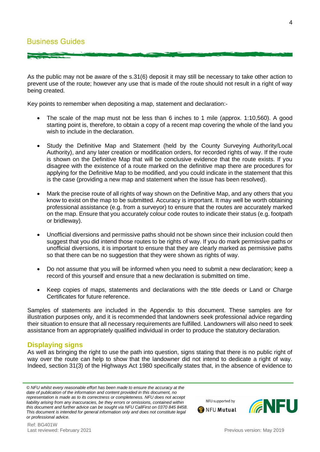As the public may not be aware of the s.31(6) deposit it may still be necessary to take other action to prevent use of the route; however any use that is made of the route should not result in a right of way being created.

Key points to remember when depositing a map, statement and declaration:-

- The scale of the map must not be less than 6 inches to 1 mile (approx. 1:10,560). A good starting point is, therefore, to obtain a copy of a recent map covering the whole of the land you wish to include in the declaration.
- Study the Definitive Map and Statement (held by the County Surveying Authority/Local Authority), and any later creation or modification orders, for recorded rights of way. If the route is shown on the Definitive Map that will be conclusive evidence that the route exists. If you disagree with the existence of a route marked on the definitive map there are procedures for applying for the Definitive Map to be modified, and you could indicate in the statement that this is the case (providing a new map and statement when the issue has been resolved).
- Mark the precise route of all rights of way shown on the Definitive Map, and any others that you know to exist on the map to be submitted. Accuracy is important. It may well be worth obtaining professional assistance (e.g. from a surveyor) to ensure that the routes are accurately marked on the map. Ensure that you accurately colour code routes to indicate their status (e.g. footpath or bridleway).
- Unofficial diversions and permissive paths should not be shown since their inclusion could then suggest that you did intend those routes to be rights of way. If you do mark permissive paths or unofficial diversions, it is important to ensure that they are clearly marked as permissive paths so that there can be no suggestion that they were shown as rights of way.
- Do not assume that you will be informed when you need to submit a new declaration; keep a record of this yourself and ensure that a new declaration is submitted on time.
- Keep copies of maps, statements and declarations with the title deeds or Land or Charge Certificates for future reference.

Samples of statements are included in the Appendix to this document. These samples are for illustration purposes only, and it is recommended that landowners seek professional advice regarding their situation to ensure that all necessary requirements are fulfilled. Landowners will also need to seek assistance from an appropriately qualified individual in order to produce the statutory declaration.

#### **Displaying signs**

As well as bringing the right to use the path into question, signs stating that there is no public right of way over the route can help to show that the landowner did not intend to dedicate a right of way. Indeed, section 31(3) of the Highways Act 1980 specifically states that, in the absence of evidence to



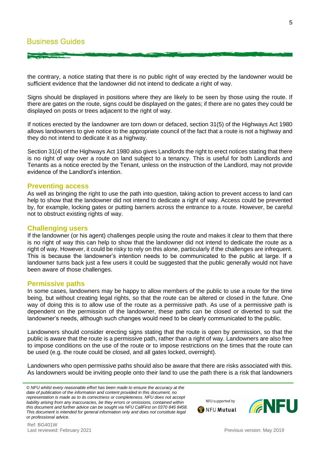the contrary, a notice stating that there is no public right of way erected by the landowner would be sufficient evidence that the landowner did not intend to dedicate a right of way.

Signs should be displayed in positions where they are likely to be seen by those using the route. If there are gates on the route, signs could be displayed on the gates; if there are no gates they could be displayed on posts or trees adjacent to the right of way.

If notices erected by the landowner are torn down or defaced, section 31(5) of the Highways Act 1980 allows landowners to give notice to the appropriate council of the fact that a route is not a highway and they do not intend to dedicate it as a highway.

Section 31(4) of the Highways Act 1980 also gives Landlords the right to erect notices stating that there is no right of way over a route on land subject to a tenancy. This is useful for both Landlords and Tenants as a notice erected by the Tenant, unless on the instruction of the Landlord, may not provide evidence of the Landlord's intention.

#### **Preventing access**

As well as bringing the right to use the path into question, taking action to prevent access to land can help to show that the landowner did not intend to dedicate a right of way. Access could be prevented by, for example, locking gates or putting barriers across the entrance to a route. However, be careful not to obstruct existing rights of way.

#### **Challenging users**

If the landowner (or his agent) challenges people using the route and makes it clear to them that there is no right of way this can help to show that the landowner did not intend to dedicate the route as a right of way. However, it could be risky to rely on this alone, particularly if the challenges are infrequent. This is because the landowner's intention needs to be communicated to the public at large. If a landowner turns back just a few users it could be suggested that the public generally would not have been aware of those challenges.

#### **Permissive paths**

In some cases, landowners may be happy to allow members of the public to use a route for the time being, but without creating legal rights, so that the route can be altered or closed in the future. One way of doing this is to allow use of the route as a permissive path. As use of a permissive path is dependent on the permission of the landowner, these paths can be closed or diverted to suit the landowner's needs, although such changes would need to be clearly communicated to the public.

Landowners should consider erecting signs stating that the route is open by permission, so that the public is aware that the route is a permissive path, rather than a right of way. Landowners are also free to impose conditions on the use of the route or to impose restrictions on the times that the route can be used (e.g. the route could be closed, and all gates locked, overnight).

Landowners who open permissive paths should also be aware that there are risks associated with this. As landowners would be inviting people onto their land to use the path there is a risk that landowners

*© NFU whilst every reasonable effort has been made to ensure the accuracy at the date of publication of the information and content provided in this document, no representation is made as to its correctness or completeness. NFU does not accept liability arising from any inaccuracies, be they errors or omissions, contained within this document and further advice can be sought via NFU CallFirst on 0370 845 8458. This document is intended for general information only and does not constitute legal or professional advice.*



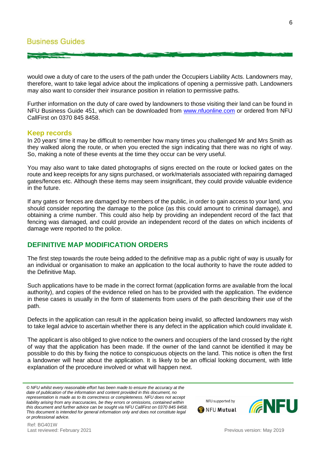would owe a duty of care to the users of the path under the Occupiers Liability Acts. Landowners may, therefore, want to take legal advice about the implications of opening a permissive path. Landowners may also want to consider their insurance position in relation to permissive paths.

Further information on the duty of care owed by landowners to those visiting their land can be found in NFU Business Guide 451, which can be downloaded from [www.nfuonline.com](http://www.nfuonline.com/) or ordered from NFU CallFirst on 0370 845 8458.

#### **Keep records**

In 20 years' time it may be difficult to remember how many times you challenged Mr and Mrs Smith as they walked along the route, or when you erected the sign indicating that there was no right of way. So, making a note of these events at the time they occur can be very useful.

You may also want to take dated photographs of signs erected on the route or locked gates on the route and keep receipts for any signs purchased, or work/materials associated with repairing damaged gates/fences etc. Although these items may seem insignificant, they could provide valuable evidence in the future.

If any gates or fences are damaged by members of the public, in order to gain access to your land, you should consider reporting the damage to the police (as this could amount to criminal damage), and obtaining a crime number. This could also help by providing an independent record of the fact that fencing was damaged, and could provide an independent record of the dates on which incidents of damage were reported to the police.

# **DEFINITIVE MAP MODIFICATION ORDERS**

The first step towards the route being added to the definitive map as a public right of way is usually for an individual or organisation to make an application to the local authority to have the route added to the Definitive Map.

Such applications have to be made in the correct format (application forms are available from the local authority), and copies of the evidence relied on has to be provided with the application. The evidence in these cases is usually in the form of statements from users of the path describing their use of the path.

Defects in the application can result in the application being invalid, so affected landowners may wish to take legal advice to ascertain whether there is any defect in the application which could invalidate it.

The applicant is also obliged to give notice to the owners and occupiers of the land crossed by the right of way that the application has been made. If the owner of the land cannot be identified it may be possible to do this by fixing the notice to conspicuous objects on the land. This notice is often the first a landowner will hear about the application. It is likely to be an official looking document, with little explanation of the procedure involved or what will happen next.



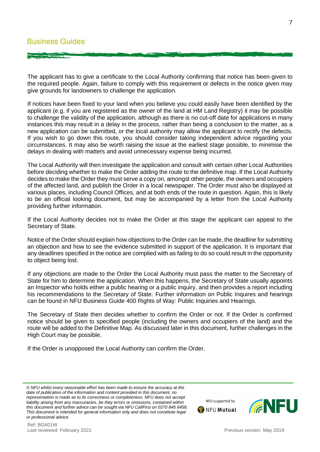#### **Business Guides**

The applicant has to give a certificate to the Local Authority confirming that notice has been given to the required people. Again, failure to comply with this requirement or defects in the notice given may give grounds for landowners to challenge the application.

If notices have been fixed to your land when you believe you could easily have been identified by the applicant (e.g. if you are registered as the owner of the land at HM Land Registry) it may be possible to challenge the validity of the application, although as there is no cut-off date for applications in many instances this may result in a delay in the process, rather than being a conclusion to the matter, as a new application can be submitted, or the local authority may allow the applicant to rectify the defects. If you wish to go down this route, you should consider taking independent advice regarding your circumstances. It may also be worth raising the issue at the earliest stage possible, to minimise the delays in dealing with matters and avoid unnecessary expense being incurred.

The Local Authority will then investigate the application and consult with certain other Local Authorities before deciding whether to make the Order adding the route to the definitive map. If the Local Authority decides to make the Order they must serve a copy on, amongst other people, the owners and occupiers of the affected land, and publish the Order in a local newspaper. The Order must also be displayed at various places, including Council Offices, and at both ends of the route in question. Again, this is likely to be an official looking document, but may be accompanied by a letter from the Local Authority providing further information.

If the Local Authority decides not to make the Order at this stage the applicant can appeal to the Secretary of State.

Notice of the Order should explain how objections to the Order can be made, the deadline for submitting an objection and how to see the evidence submitted in support of the application. It is important that any deadlines specified in the notice are complied with as failing to do so could result in the opportunity to object being lost.

If any objections are made to the Order the Local Authority must pass the matter to the Secretary of State for him to determine the application. When this happens, the Secretary of State usually appoints an Inspector who holds either a public hearing or a public inquiry, and then provides a report including his recommendations to the Secretary of State. Further information on Public Inquires and hearings can be found in NFU Business Guide 400 Rights of Way: Public Inquiries and Hearings.

The Secretary of State then decides whether to confirm the Order or not. If the Order is confirmed notice should be given to specified people (including the owners and occupiers of the land) and the route will be added to the Definitive Map. As discussed later in this document, further challenges in the High Court may be possible.

If the Order is unopposed the Local Authority can confirm the Order.

Last reviewed: February 2021 **Previous version: May 2019** Previous version: May 2019

Ref: BG401W





*<sup>©</sup> NFU whilst every reasonable effort has been made to ensure the accuracy at the date of publication of the information and content provided in this document, no representation is made as to its correctness or completeness. NFU does not accept liability arising from any inaccuracies, be they errors or omissions, contained within this document and further advice can be sought via NFU CallFirst on 0370 845 8458. This document is intended for general information only and does not constitute legal or professional advice.*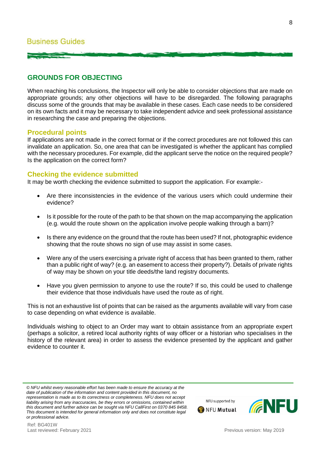# **GROUNDS FOR OBJECTING**

When reaching his conclusions, the Inspector will only be able to consider objections that are made on appropriate grounds; any other objections will have to be disregarded. The following paragraphs discuss some of the grounds that may be available in these cases. Each case needs to be considered on its own facts and it may be necessary to take independent advice and seek professional assistance in researching the case and preparing the objections.

#### **Procedural points**

If applications are not made in the correct format or if the correct procedures are not followed this can invalidate an application. So, one area that can be investigated is whether the applicant has complied with the necessary procedures. For example, did the applicant serve the notice on the required people? Is the application on the correct form?

#### **Checking the evidence submitted**

It may be worth checking the evidence submitted to support the application. For example:-

- Are there inconsistencies in the evidence of the various users which could undermine their evidence?
- Is it possible for the route of the path to be that shown on the map accompanying the application (e.g. would the route shown on the application involve people walking through a barn)?
- Is there any evidence on the ground that the route has been used? If not, photographic evidence showing that the route shows no sign of use may assist in some cases.
- Were any of the users exercising a private right of access that has been granted to them, rather than a public right of way? (e.g. an easement to access their property?). Details of private rights of way may be shown on your title deeds/the land registry documents.
- Have you given permission to anyone to use the route? If so, this could be used to challenge their evidence that those individuals have used the route as of right.

This is not an exhaustive list of points that can be raised as the arguments available will vary from case to case depending on what evidence is available.

Individuals wishing to object to an Order may want to obtain assistance from an appropriate expert (perhaps a solicitor, a retired local authority rights of way officer or a historian who specialises in the history of the relevant area) in order to assess the evidence presented by the applicant and gather evidence to counter it.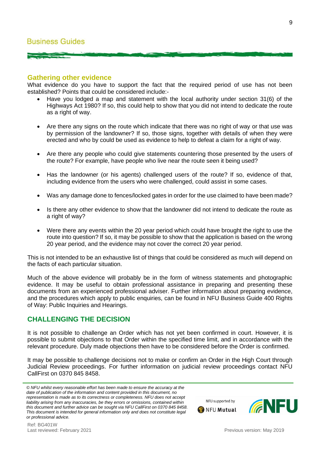#### **Gathering other evidence**

What evidence do you have to support the fact that the required period of use has not been established? Points that could be considered include:-

- Have you lodged a map and statement with the local authority under section 31(6) of the Highways Act 1980? If so, this could help to show that you did not intend to dedicate the route as a right of way.
- Are there any signs on the route which indicate that there was no right of way or that use was by permission of the landowner? If so, those signs, together with details of when they were erected and who by could be used as evidence to help to defeat a claim for a right of way.
- Are there any people who could give statements countering those presented by the users of the route? For example, have people who live near the route seen it being used?
- Has the landowner (or his agents) challenged users of the route? If so, evidence of that, including evidence from the users who were challenged, could assist in some cases.
- Was any damage done to fences/locked gates in order for the use claimed to have been made?
- Is there any other evidence to show that the landowner did not intend to dedicate the route as a right of way?
- Were there any events within the 20 year period which could have brought the right to use the route into question? If so, it may be possible to show that the application is based on the wrong 20 year period, and the evidence may not cover the correct 20 year period.

This is not intended to be an exhaustive list of things that could be considered as much will depend on the facts of each particular situation.

Much of the above evidence will probably be in the form of witness statements and photographic evidence. It may be useful to obtain professional assistance in preparing and presenting these documents from an experienced professional adviser. Further information about preparing evidence, and the procedures which apply to public enquiries, can be found in NFU Business Guide 400 Rights of Way: Public Inquiries and Hearings.

#### **CHALLENGING THE DECISION**

It is not possible to challenge an Order which has not yet been confirmed in court. However, it is possible to submit objections to that Order within the specified time limit, and in accordance with the relevant procedure. Duly made objections then have to be considered before the Order is confirmed.

It may be possible to challenge decisions not to make or confirm an Order in the High Court through Judicial Review proceedings. For further information on judicial review proceedings contact NFU CallFirst on 0370 845 8458.

*<sup>©</sup> NFU whilst every reasonable effort has been made to ensure the accuracy at the date of publication of the information and content provided in this document, no representation is made as to its correctness or completeness. NFU does not accept liability arising from any inaccuracies, be they errors or omissions, contained within this document and further advice can be sought via NFU CallFirst on 0370 845 8458. This document is intended for general information only and does not constitute legal or professional advice.*



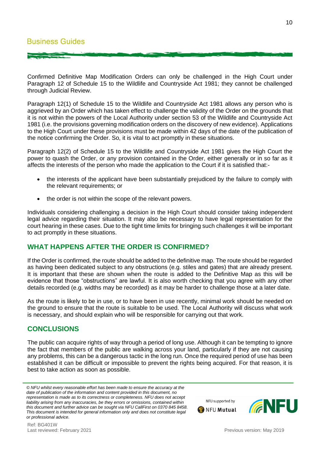Confirmed Definitive Map Modification Orders can only be challenged in the High Court under Paragraph 12 of Schedule 15 to the Wildlife and Countryside Act 1981; they cannot be challenged through Judicial Review.

Paragraph 12(1) of Schedule 15 to the Wildlife and Countryside Act 1981 allows any person who is aggrieved by an Order which has taken effect to challenge the validity of the Order on the grounds that it is not within the powers of the Local Authority under section 53 of the Wildlife and Countryside Act 1981 (i.e. the provisions governing modification orders on the discovery of new evidence). Applications to the High Court under these provisions must be made within 42 days of the date of the publication of the notice confirming the Order. So, it is vital to act promptly in these situations.

Paragraph 12(2) of Schedule 15 to the Wildlife and Countryside Act 1981 gives the High Court the power to quash the Order, or any provision contained in the Order, either generally or in so far as it affects the interests of the person who made the application to the Court if it is satisfied that:-

- the interests of the applicant have been substantially prejudiced by the failure to comply with the relevant requirements; or
- the order is not within the scope of the relevant powers.

Individuals considering challenging a decision in the High Court should consider taking independent legal advice regarding their situation. It may also be necessary to have legal representation for the court hearing in these cases. Due to the tight time limits for bringing such challenges it will be important to act promptly in these situations.

# **WHAT HAPPENS AFTER THE ORDER IS CONFIRMED?**

If the Order is confirmed, the route should be added to the definitive map. The route should be regarded as having been dedicated subject to any obstructions (e.g. stiles and gates) that are already present. It is important that these are shown when the route is added to the Definitive Map as this will be evidence that those "obstructions" are lawful. It is also worth checking that you agree with any other details recorded (e.g. widths may be recorded) as it may be harder to challenge those at a later date.

As the route is likely to be in use, or to have been in use recently, minimal work should be needed on the ground to ensure that the route is suitable to be used. The Local Authority will discuss what work is necessary, and should explain who will be responsible for carrying out that work.

# **CONCLUSIONS**

The public can acquire rights of way through a period of long use. Although it can be tempting to ignore the fact that members of the public are walking across your land, particularly if they are not causing any problems, this can be a dangerous tactic in the long run. Once the required period of use has been established it can be difficult or impossible to prevent the rights being acquired. For that reason, it is best to take action as soon as possible.





*<sup>©</sup> NFU whilst every reasonable effort has been made to ensure the accuracy at the date of publication of the information and content provided in this document, no representation is made as to its correctness or completeness. NFU does not accept liability arising from any inaccuracies, be they errors or omissions, contained within this document and further advice can be sought via NFU CallFirst on 0370 845 8458. This document is intended for general information only and does not constitute legal or professional advice.*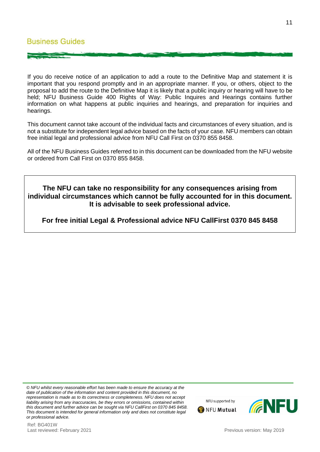If you do receive notice of an application to add a route to the Definitive Map and statement it is important that you respond promptly and in an appropriate manner. If you, or others, object to the proposal to add the route to the Definitive Map it is likely that a public inquiry or hearing will have to be held; NFU Business Guide 400 Rights of Way: Public Inquires and Hearings contains further information on what happens at public inquiries and hearings, and preparation for inquiries and hearings.

This document cannot take account of the individual facts and circumstances of every situation, and is not a substitute for independent legal advice based on the facts of your case. NFU members can obtain free initial legal and professional advice from NFU Call First on 0370 855 8458.

All of the NFU Business Guides referred to in this document can be downloaded from the NFU website or ordered from Call First on 0370 855 8458.

# **The NFU can take no responsibility for any consequences arising from individual circumstances which cannot be fully accounted for in this document. It is advisable to seek professional advice.**

**For free initial Legal & Professional advice NFU CallFirst 0370 845 8458**

*© NFU whilst every reasonable effort has been made to ensure the accuracy at the date of publication of the information and content provided in this document, no representation is made as to its correctness or completeness. NFU does not accept liability arising from any inaccuracies, be they errors or omissions, contained within this document and further advice can be sought via NFU CallFirst on 0370 845 8458. This document is intended for general information only and does not constitute legal or professional advice.*

Ref: BG401W Last reviewed: February 2021 **Previous version: May 2019** Previous version: May 2019



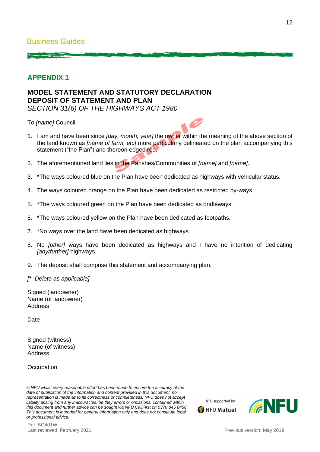# **APPENDIX 1**

# **MODEL STATEMENT AND STATUTORY DECLARATION DEPOSIT OF STATEMENT AND PLAN**

*SECTION 31(6) OF THE HIGHWAYS ACT 1980*

To *[name]* Council



- 2. The aforementioned land lies in the Parishes/Communities of *[name]* and *[name]*.
- 3. \*The ways coloured blue on the Plan have been dedicated as highways with vehicular status.
- 4. The ways coloured orange on the Plan have been dedicated as restricted by-ways.
- 5. \*The ways coloured green on the Plan have been dedicated as bridleways.
- 6. \*The ways coloured yellow on the Plan have been dedicated as footpaths.
- 7. \*No ways over the land have been dedicated as highways.
- 8. No *[other]* ways have been dedicated as highways and I have no intention of dedicating *[any/further]* highways.
- 9. The deposit shall comprise this statement and accompanying plan.
- *[\* Delete as applicable]*

Signed (landowner) Name (of landowner) Address

Date

Signed (witness) Name (of witness) **Address** 

**Occupation** 

NFU supported by



*<sup>©</sup> NFU whilst every reasonable effort has been made to ensure the accuracy at the date of publication of the information and content provided in this document, no representation is made as to its correctness or completeness. NFU does not accept liability arising from any inaccuracies, be they errors or omissions, contained within this document and further advice can be sought via NFU CallFirst on 0370 845 8458. This document is intended for general information only and does not constitute legal or professional advice.*